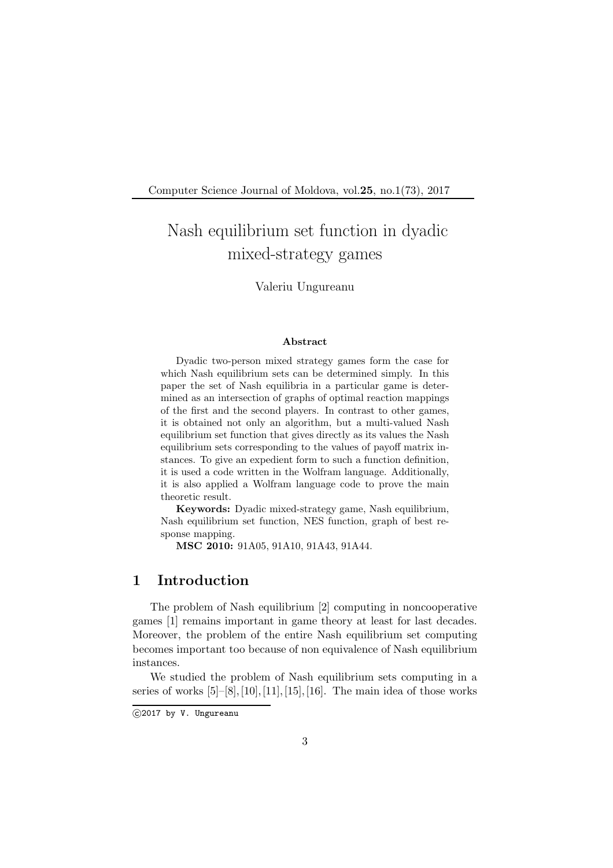Computer Science Journal of Moldova, vol.25, no.1(73), 2017

# Nash equilibrium set function in dyadic mixed-strategy games

#### Valeriu Ungureanu

#### Abstract

Dyadic two-person mixed strategy games form the case for which Nash equilibrium sets can be determined simply. In this paper the set of Nash equilibria in a particular game is determined as an intersection of graphs of optimal reaction mappings of the first and the second players. In contrast to other games, it is obtained not only an algorithm, but a multi-valued Nash equilibrium set function that gives directly as its values the Nash equilibrium sets corresponding to the values of payoff matrix instances. To give an expedient form to such a function definition, it is used a code written in the Wolfram language. Additionally, it is also applied a Wolfram language code to prove the main theoretic result.

Keywords: Dyadic mixed-strategy game, Nash equilibrium, Nash equilibrium set function, NES function, graph of best response mapping.

MSC 2010: 91A05, 91A10, 91A43, 91A44.

#### 1 Introduction

The problem of Nash equilibrium [2] computing in noncooperative games [1] remains important in game theory at least for last decades. Moreover, the problem of the entire Nash equilibrium set computing becomes important too because of non equivalence of Nash equilibrium instances.

We studied the problem of Nash equilibrium sets computing in a series of works  $[5]–[8], [10], [11], [15], [16]$ . The main idea of those works

 $C$ 2017 by V. Ungureanu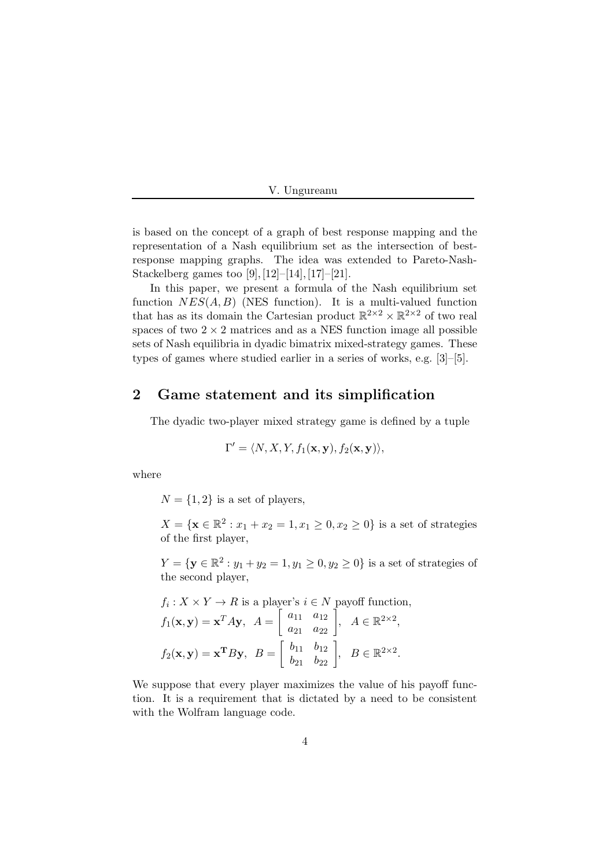is based on the concept of a graph of best response mapping and the representation of a Nash equilibrium set as the intersection of bestresponse mapping graphs. The idea was extended to Pareto-Nash-Stackelberg games too [9], [12]–[14], [17]–[21].

In this paper, we present a formula of the Nash equilibrium set function  $NES(A, B)$  (NES function). It is a multi-valued function that has as its domain the Cartesian product  $\mathbb{R}^{2\times 2}\times \mathbb{R}^{2\times 2}$  of two real spaces of two  $2 \times 2$  matrices and as a NES function image all possible sets of Nash equilibria in dyadic bimatrix mixed-strategy games. These types of games where studied earlier in a series of works, e.g. [3]–[5].

#### 2 Game statement and its simplification

The dyadic two-player mixed strategy game is defined by a tuple

$$
\Gamma' = \langle N, X, Y, f_1(\mathbf{x}, \mathbf{y}), f_2(\mathbf{x}, \mathbf{y}) \rangle,
$$

where

 $N = \{1, 2\}$  is a set of players,

 $X = \{ \mathbf{x} \in \mathbb{R}^2 : x_1 + x_2 = 1, x_1 \ge 0, x_2 \ge 0 \}$  is a set of strategies of the first player,

 $Y = \{ \mathbf{y} \in \mathbb{R}^2 : y_1 + y_2 = 1, y_1 \ge 0, y_2 \ge 0 \}$  is a set of strategies of the second player,

$$
f_i: X \times Y \to R \text{ is a player's } i \in N \text{ payoff function},
$$

$$
f_1(\mathbf{x}, \mathbf{y}) = \mathbf{x}^T A \mathbf{y}, \quad A = \begin{bmatrix} a_{11} & a_{12} \\ a_{21} & a_{22} \end{bmatrix}, \quad A \in \mathbb{R}^{2 \times 2},
$$

$$
f_2(\mathbf{x}, \mathbf{y}) = \mathbf{x}^T B \mathbf{y}, \quad B = \begin{bmatrix} b_{11} & b_{12} \\ b_{21} & b_{22} \end{bmatrix}, \quad B \in \mathbb{R}^{2 \times 2}.
$$

We suppose that every player maximizes the value of his payoff function. It is a requirement that is dictated by a need to be consistent with the Wolfram language code.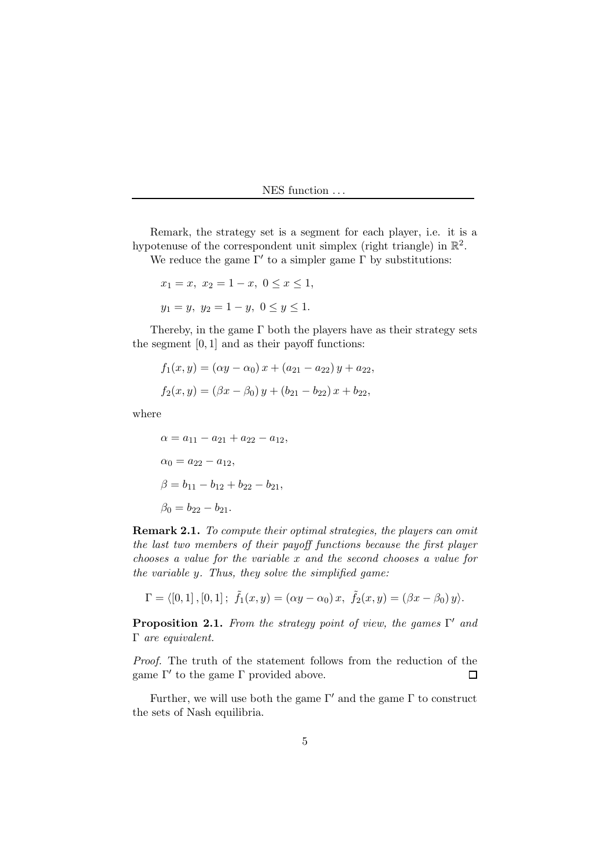Remark, the strategy set is a segment for each player, i.e. it is a hypotenuse of the correspondent unit simplex (right triangle) in  $\mathbb{R}^2$ .

We reduce the game  $\Gamma'$  to a simpler game  $\Gamma$  by substitutions:

$$
x_1 = x, x_2 = 1 - x, 0 \le x \le 1,
$$
  
 $y_1 = y, y_2 = 1 - y, 0 \le y \le 1.$ 

Thereby, in the game  $\Gamma$  both the players have as their strategy sets the segment  $[0, 1]$  and as their payoff functions:

$$
f_1(x, y) = (\alpha y - \alpha_0) x + (a_{21} - a_{22}) y + a_{22},
$$
  

$$
f_2(x, y) = (\beta x - \beta_0) y + (b_{21} - b_{22}) x + b_{22},
$$

where

 $\alpha = a_{11} - a_{21} + a_{22} - a_{12},$  $\alpha_0 = a_{22} - a_{12},$  $\beta = b_{11} - b_{12} + b_{22} - b_{21}$  $\beta_0 = b_{22} - b_{21}.$ 

Remark 2.1. To compute their optimal strategies, the players can omit the last two members of their payoff functions because the first player chooses a value for the variable x and the second chooses a value for the variable y. Thus, they solve the simplified game:

$$
\Gamma = \langle [0,1], [0,1]; \ \tilde{f}_1(x,y) = (\alpha y - \alpha_0) x, \ \tilde{f}_2(x,y) = (\beta x - \beta_0) y \rangle.
$$

**Proposition 2.1.** From the strategy point of view, the games  $\Gamma'$  and Γ are equivalent.

Proof. The truth of the statement follows from the reduction of the game  $Γ'$  to the game  $Γ$  provided above.  $\Box$ 

Further, we will use both the game  $\Gamma'$  and the game  $\Gamma$  to construct the sets of Nash equilibria.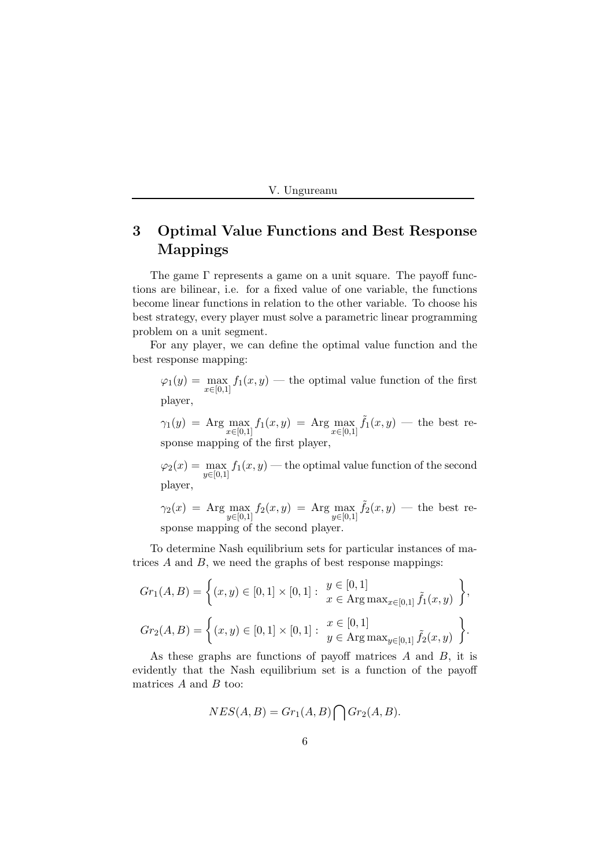## 3 Optimal Value Functions and Best Response Mappings

The game Γ represents a game on a unit square. The payoff functions are bilinear, i.e. for a fixed value of one variable, the functions become linear functions in relation to the other variable. To choose his best strategy, every player must solve a parametric linear programming problem on a unit segment.

For any player, we can define the optimal value function and the best response mapping:

 $\varphi_1(y) = \max_{x \in [0,1]} f_1(x, y)$  — the optimal value function of the first player,

 $\gamma_1(y) = \text{Arg} \max_{x \in [0,1]} f_1(x,y) = \text{Arg} \max_{x \in [0,1]} \tilde{f}_1(x,y)$  — the best response mapping of the first player,

 $\varphi_2(x) = \max_{y \in [0,1]} f_1(x,y)$  — the optimal value function of the second player,

 $\gamma_2(x) = \text{Arg} \max_{y \in [0,1]} f_2(x,y) = \text{Arg} \max_{y \in [0,1]} \tilde{f}_2(x,y)$  — the best response mapping of the second player.

To determine Nash equilibrium sets for particular instances of matrices  $A$  and  $B$ , we need the graphs of best response mappings:

$$
Gr_1(A, B) = \left\{ (x, y) \in [0, 1] \times [0, 1] : \begin{aligned} y &\in [0, 1] \\ x &\in \text{Arg}\max_{x \in [0, 1]} \tilde{f}_1(x, y) \end{aligned} \right\},
$$

$$
Gr_2(A, B) = \left\{ (x, y) \in [0, 1] \times [0, 1] : \begin{aligned} x &\in [0, 1] \\ y &\in \text{Arg}\max_{y \in [0, 1]} \tilde{f}_2(x, y) \end{aligned} \right\}.
$$

As these graphs are functions of payoff matrices A and B, it is evidently that the Nash equilibrium set is a function of the payoff matrices  $A$  and  $B$  too:

$$
NES(A, B) = Gr_1(A, B) \bigcap Gr_2(A, B).
$$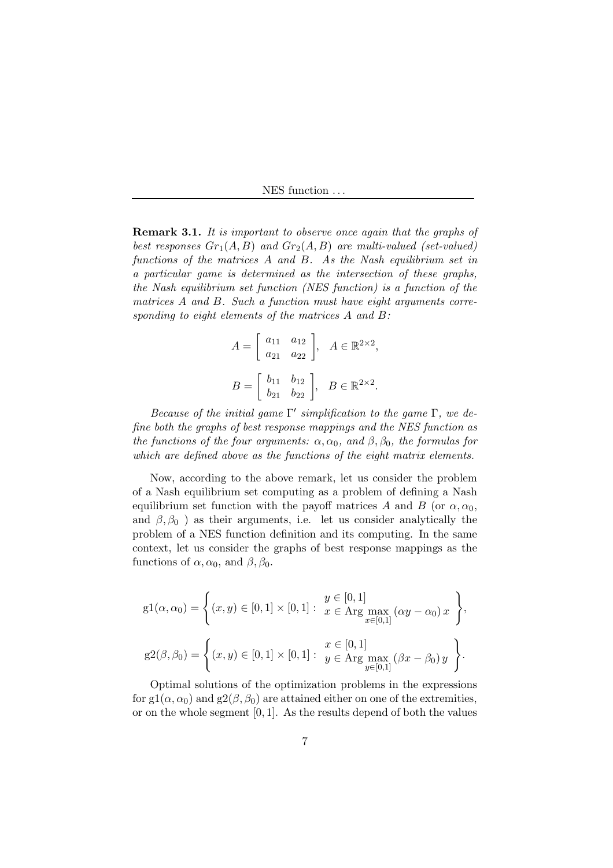**Remark 3.1.** It is important to observe once again that the graphs of best responses  $Gr_1(A, B)$  and  $Gr_2(A, B)$  are multi-valued (set-valued) functions of the matrices A and B. As the Nash equilibrium set in a particular game is determined as the intersection of these graphs, the Nash equilibrium set function (NES function) is a function of the matrices A and B. Such a function must have eight arguments corresponding to eight elements of the matrices A and B:

$$
A = \begin{bmatrix} a_{11} & a_{12} \\ a_{21} & a_{22} \end{bmatrix}, A \in \mathbb{R}^{2 \times 2},
$$
  

$$
B = \begin{bmatrix} b_{11} & b_{12} \\ b_{21} & b_{22} \end{bmatrix}, B \in \mathbb{R}^{2 \times 2}.
$$

Because of the initial game  $\Gamma'$  simplification to the game  $\Gamma$ , we define both the graphs of best response mappings and the NES function as the functions of the four arguments:  $\alpha, \alpha_0$ , and  $\beta, \beta_0$ , the formulas for which are defined above as the functions of the eight matrix elements.

Now, according to the above remark, let us consider the problem of a Nash equilibrium set computing as a problem of defining a Nash equilibrium set function with the payoff matrices A and B (or  $\alpha, \alpha_0$ , and  $\beta$ ,  $\beta_0$ ) as their arguments, i.e. let us consider analytically the problem of a NES function definition and its computing. In the same context, let us consider the graphs of best response mappings as the functions of  $\alpha, \alpha_0$ , and  $\beta, \beta_0$ .

$$
g1(\alpha, \alpha_0) = \left\{ (x, y) \in [0, 1] \times [0, 1] : \begin{aligned} y &\in [0, 1] \\ x &\in \text{Arg} \max_{x \in [0, 1]} (\alpha y - \alpha_0) \, x \end{aligned} \right\},
$$

$$
g2(\beta, \beta_0) = \left\{ (x, y) \in [0, 1] \times [0, 1] : \begin{aligned} y &\in [0, 1] \\ y &\in \text{Arg} \max_{y \in [0, 1]} (\beta x - \beta_0) \, y \end{aligned} \right\}.
$$

Optimal solutions of the optimization problems in the expressions for g1( $\alpha$ ,  $\alpha_0$ ) and g2( $\beta$ ,  $\beta_0$ ) are attained either on one of the extremities, or on the whole segment [0, 1]. As the results depend of both the values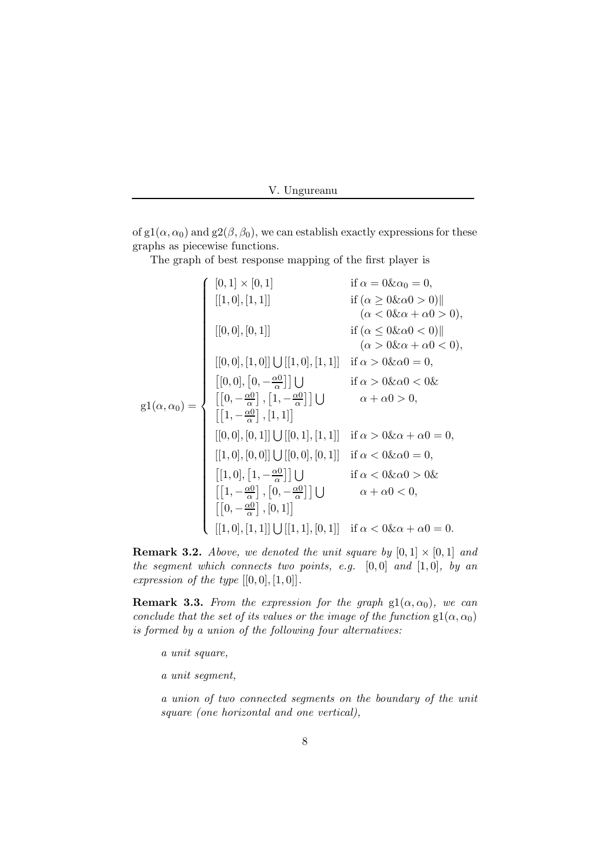of g1( $\alpha$ ,  $\alpha_0$ ) and g2( $\beta$ ,  $\beta_0$ ), we can establish exactly expressions for these graphs as piecewise functions.

The graph of best response mapping of the first player is

$$
g1(\alpha, \alpha_0) = \begin{cases} [0, 1] \times [0, 1] & \text{if } \alpha = 0 \& \alpha_0 = 0, \\ [[1, 0], [1, 1]] & \text{if } (\alpha \ge 0 \& \alpha_0 > 0) || \\ (\alpha < 0 \& \alpha_0 < 0) || \\ ([0, 0], [0, 1]] & \text{if } (\alpha \le 0 \& \alpha_0 < 0) || \\ ([0, 0], [1, 0]] \cup [[1, 0], [1, 1]] & \text{if } \alpha > 0 \& \alpha_0 = 0, \\ [[0, 0], [0, -\frac{\alpha_0}{\alpha}] ] \cup & \text{if } \alpha > 0 \& \alpha_0 < 0 \& \\ [[0, -\frac{\alpha_0}{\alpha}], [1, -\frac{\alpha_0}{\alpha}] ] \cup & \alpha + \alpha_0 > 0, \\ [[1, -\frac{\alpha_0}{\alpha}], [1, 1]] & \text{if } \alpha > 0 \& \alpha + \alpha_0 = 0, \\ [[1, 0], [0, 0]] \cup [[0, 1], [1, 1]] & \text{if } \alpha < 0 \& \alpha_0 = 0, \\ [[1, 0], [1, -\frac{\alpha_0}{\alpha}] ] \cup & \text{if } \alpha < 0 \& \alpha_0 = 0, \\ [[1, 0], [1, -\frac{\alpha_0}{\alpha}], [0, -\frac{\alpha_0}{\alpha}] ] \cup & \alpha + \alpha_0 < 0, \\ [[0, -\frac{\alpha_0}{\alpha}], [0, 1]] & \text{if } \alpha < 0 \& \alpha + \alpha_0 = 0. \end{cases}
$$

**Remark 3.2.** Above, we denoted the unit square by  $[0, 1] \times [0, 1]$  and the segment which connects two points, e.g.  $[0,0]$  and  $[1,0]$ , by an expression of the type  $[[0,0],[1,0]]$ .

**Remark 3.3.** From the expression for the graph  $gl(\alpha, \alpha_0)$ , we can conclude that the set of its values or the image of the function  $gl(\alpha, \alpha_0)$ is formed by a union of the following four alternatives:

a unit square,

a unit segment,

a union of two connected segments on the boundary of the unit square (one horizontal and one vertical),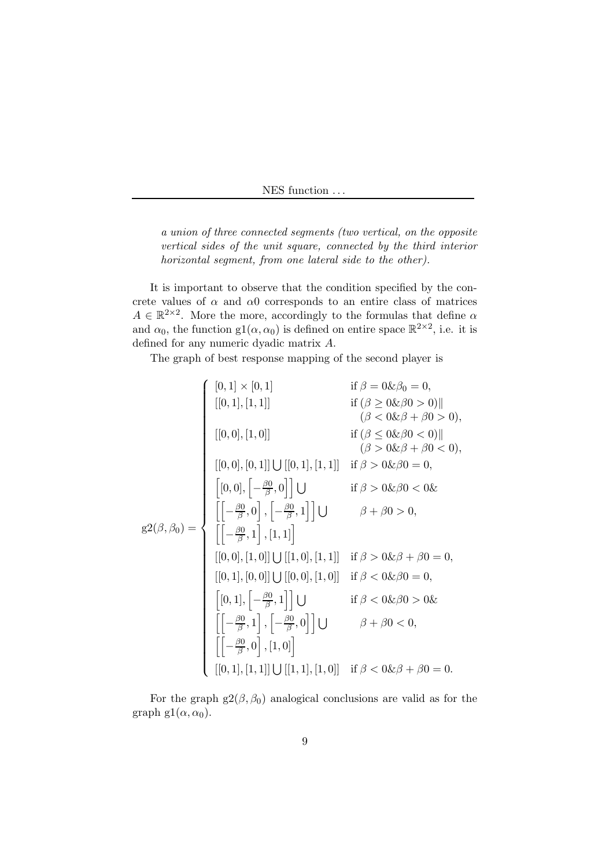a union of three connected segments (two vertical, on the opposite vertical sides of the unit square, connected by the third interior horizontal segment, from one lateral side to the other).

It is important to observe that the condition specified by the concrete values of  $\alpha$  and  $\alpha$ 0 corresponds to an entire class of matrices  $A \in \mathbb{R}^{2 \times 2}$ . More the more, accordingly to the formulas that define  $\alpha$ and  $\alpha_0$ , the function  $gl(\alpha, \alpha_0)$  is defined on entire space  $\mathbb{R}^{2 \times 2}$ , i.e. it is defined for any numeric dyadic matrix A.

The graph of best response mapping of the second player is

$$
g^{2}(\beta, \beta_{0}) = \begin{cases} [0,1] \times [0,1] & \text{if } \beta = 0 \& \beta_{0} = 0, \\ [0,1], [1,1]] & \text{if } (\beta \ge 0 \& \beta_{0} > 0) || \\ (0,0], [1,0]] & \text{if } (\beta \le 0 \& \beta_{0} < 0) || \\ (0,0], [0,1]] \cup [[0,1], [1,1]] & \text{if } \beta > 0 \& \beta_{0} = 0, \\ [0,0], [-\frac{\beta_{0}}{\beta},0]] \cup & \text{if } \beta > 0 \& \beta_{0} = 0, \\ [0,0], [-\frac{\beta_{0}}{\beta},0]] \cup & \text{if } \beta > 0 \& \beta_{0} < 0 \& \\ [0,0], [1,0]] \cup [[1,0], [1,1]] & \beta + \beta_{0} > 0, \\ [0,0], [1,0]] \cup [[1,0], [1,1]] & \text{if } \beta > 0 \& \beta + \beta_{0} = 0, \\ [0,1], [0,0]] \cup [[0,0], [1,0]] & \text{if } \beta < 0 \& \beta_{0} = 0, \\ [0,1], [-\frac{\beta_{0}}{\beta},1]] \cup & \text{if } \beta < 0 \& \beta_{0} = 0, \\ [0,1], [-\frac{\beta_{0}}{\beta},1]] \cup & \text{if } \beta < 0 \& \beta_{0} > 0 \& \\ [0,1], [-\frac{\beta_{0}}{\beta},1], [-\frac{\beta_{0}}{\beta},0]] \cup & \beta + \beta_{0} < 0, \\ [0,1], [1,1]] \cup [[1,1], [1,0]] & \text{if } \beta < 0 \& \beta + \beta_{0} = 0. \end{cases}
$$

For the graph  $g(β, β<sub>0</sub>)$  analogical conclusions are valid as for the graph g1( $\alpha, \alpha_0$ ).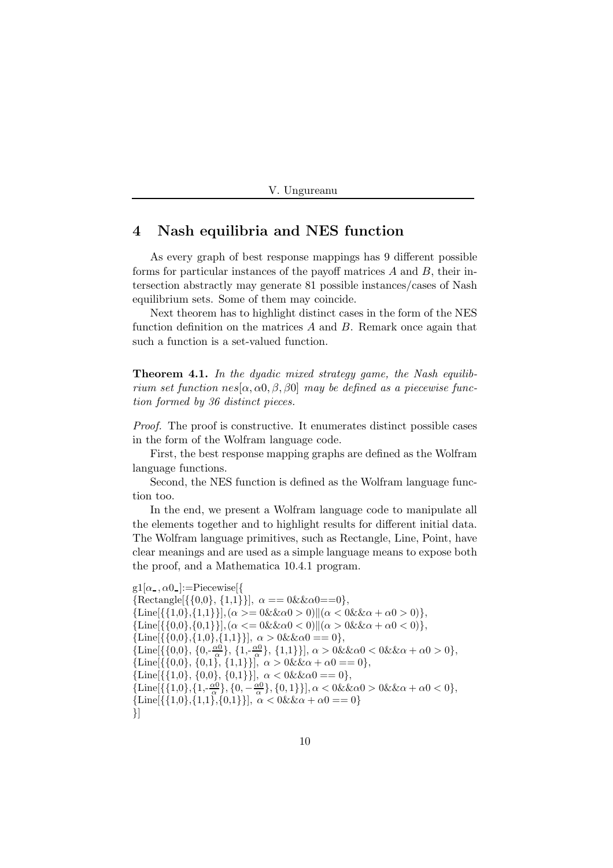|  | Ungureanu |  |
|--|-----------|--|
|--|-----------|--|

#### 4 Nash equilibria and NES function

As every graph of best response mappings has 9 different possible forms for particular instances of the payoff matrices  $A$  and  $B$ , their intersection abstractly may generate 81 possible instances/cases of Nash equilibrium sets. Some of them may coincide.

Next theorem has to highlight distinct cases in the form of the NES function definition on the matrices  $A$  and  $B$ . Remark once again that such a function is a set-valued function.

**Theorem 4.1.** In the dyadic mixed strategy game, the Nash equilibrium set function  $nes[\alpha, \alpha_0, \beta, \beta_0]$  may be defined as a piecewise function formed by 36 distinct pieces.

Proof. The proof is constructive. It enumerates distinct possible cases in the form of the Wolfram language code.

First, the best response mapping graphs are defined as the Wolfram language functions.

Second, the NES function is defined as the Wolfram language function too.

In the end, we present a Wolfram language code to manipulate all the elements together and to highlight results for different initial data. The Wolfram language primitives, such as Rectangle, Line, Point, have clear meanings and are used as a simple language means to expose both the proof, and a Mathematica 10.4.1 program.

```
g1[\alpha, \alpha 0] :=Piecewise[{
{Rectangle}[\{0,0\}, \{1,1\}\}], \alpha == 0 \& \& \alpha0 == 0\},\{\rm \{\text{Line}[\{\{1,0\},\{1,1\}\}],(\alpha>=0\&\&\alpha)}\|(\alpha<0\&\alpha+\alpha0>0)\},{\rm \{\text{Line}[\{\{0,0\},\{0,1\}\}]}, (\alpha \leq 0 \& \& \alpha 0 < 0) || (\alpha > 0 \& \& \alpha + \alpha 0 < 0) \},{\rm Line}[\{\{0,0\},\{1,0\},\{1,1\}\}], \alpha > 0 \& \& \alpha = 0\},\{\text{Line}[\{\{0,0\},\{0,-\frac{\alpha}{\alpha}\},\{1,-\frac{\alpha}{\alpha}\},\{1,1\}\}], \alpha > 0 \&\& \alpha 0 < 0 \&\& \alpha + \alpha 0 > 0},{\rm Line}[\{\{0,0\},\{0,1\},\{1,1\}\}], \alpha > 0 \& \& \alpha + \alpha 0 = 0\},{\text{Line}[\{\{1,0\},\{0,0\},\{0,1\}\}], \ \alpha < 0 \&\&\alpha0 == 0\},{\text{Line}[\{\{1,0\},\{1,-\frac{\alpha_0}{\alpha}\},\{0,-\frac{\alpha_0}{\alpha}\},\{0,1\}\}], \alpha < 0 \& \& \alpha 0 > 0 \& \& \alpha + \alpha 0 < 0},{\rm Line}[\{\{1,0\},\{1,1\},\{0,1\}\}], \alpha < 0 \& \& \alpha + \alpha 0 == 0\}}]
```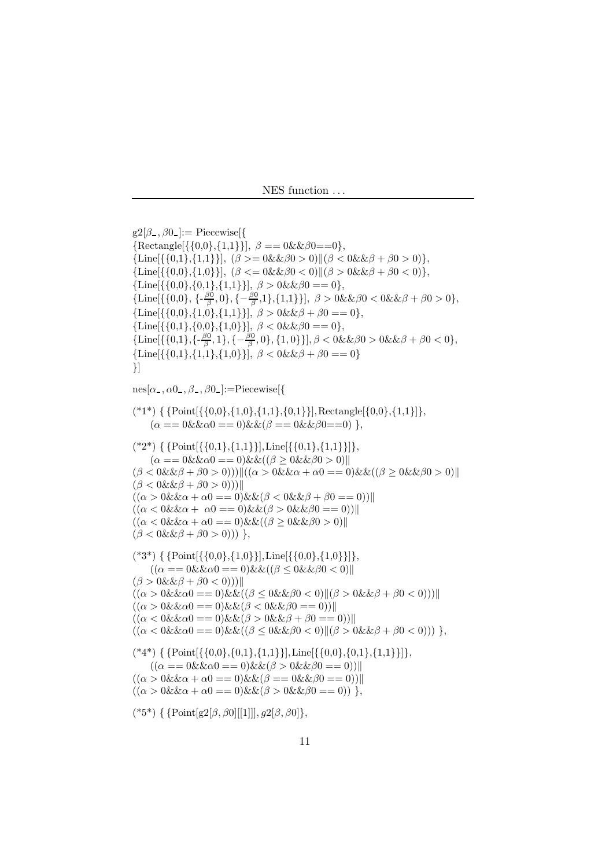```
g2[\beta_-, \beta_0] := Piecewise {{
{Rectangle}[\{0,0\},\{1,1\}\}], \beta == 0 \& \& \beta0 == 0\},\{\rm Line}[\{\{0,1\},\{1,1\}\}], (\beta \geq 0 \& \& \beta0 > 0) \| (\beta < 0 \& \& \beta + \beta0 > 0) \},{\rm \{Line[\{\{0,0\},\{1,0\}\}\], \ (\beta<=0 \&\&\beta0<0\})}(\beta > 0 \&\&\beta + \beta0<0)\},{\rm \{Line[\{\{0,0\},\{0,1\},\{1,1\}\}], \ \beta > 0 \& \& \beta0 == 0\},\}{\text{Line}[\{\{0,0\},\{-\frac{\beta0}{\beta},0\},\{-\frac{\beta0}{\beta},1\},\{1,1\}\}], \ \beta > 0 \& \& \beta0 < 0 \& \& \beta + \beta0 > 0,
{\rm Line}[\{\{0,0\},\{1,0\},\{1,1\}\}], \ \beta > 0 \& \& \beta + \beta 0 == 0\},{\rm \{Line[\{\{0,1\},\{0,0\},\{1,0\}\}], \ \beta < 0 \& \& \beta0 == 0\},\}{\text{Line}[\{\{0,1\},\{-\frac{\beta 0}{\beta},1\},\{-\frac{\beta 0}{\beta},0\},\{1,0\}\}], \beta < 0 \& \& \beta - 0 \& \& \beta + \beta 0 < 0\},{\text{Line}[\{\{0,1\},\{1,1\},\{1,0\}\}], \ \beta < 0 \& \ \beta + \beta 0 == 0\}}]
nes[\alpha_-, \alpha_0_-, \beta_-, \beta_0_-] := \text{Piccewise}[{
({*1*}) { {Point [{{0,0},{1,0},{1,1},{0,1}}], Rectangle [{0,0},{1,1}]},
      (\alpha == 0 \& \& \alpha = 0) \& \& (\beta == 0 \& \& \beta = 0) \},({*2}^*) { {Point [{{0,1},{1,1}}], Line [{{0,1},{1,1}}]},
      (\alpha == 0 \& \& \alpha = 0) \& \& ((\beta > 0 \& \& \beta) > 0))(\beta < 0 \& \& \beta + \beta 0 > 0)))||((\alpha > 0 \& \& \alpha + \alpha 0 == 0) \& \& ((\beta \geq 0 \& \& \beta 0 > 0))||
(\beta < 0 \& \& \beta + \beta 0 > 0))((\alpha > 0 \& \& \alpha + \alpha) = 0) \& \& (\beta < 0 \& \& \beta + \beta) = 0))((\alpha < 0 \& \& \alpha + \alpha 0 \equiv 0) \& \& (\beta > 0 \& \& \beta 0 \equiv 0))((\alpha < 0 \& \& \alpha + \alpha 0 \equiv 0) \& \& ((\beta \geq 0 \& \& \beta 0 > 0))(\beta < 0 \& \& \beta + \beta 0 > 0)) },
(*3^*) \{ \{Point[\{\{0,0\},\{1,0\}\}], Line[\{\{0,0\},\{1,0\}\}]\},((\alpha == 0 \& \& \alpha == 0) \& \& ((\beta \leq 0 \& \& \beta & 0 \& 0))(\beta > 0 \& \& \beta + \beta 0 < 0))((\alpha > 0 \& \& \alpha 0 == 0) \& \& ((\beta \leq 0 \& \& \beta 0 < 0) || (\beta > 0 \& \& \beta + \beta 0 < 0))) ||((\alpha > 0 \& \& \alpha 0 == 0) \& \& (\beta < 0 \& \& \beta 0 == 0))]((\alpha < 0 \& \& \alpha0 \land w = 0) \& \& (\beta > 0 \& \& \beta + \beta0 \land w = 0))((\alpha < 0 \& \& \alpha 0 == 0) \& \& ((\beta \leq 0 \& \& \beta 0 &lt; 0) || (\beta > 0 \& \& \beta + \beta 0 &lt; 0))) \},({}^{\ast}4^{\ast}) { {Point[{{0,0},{0,1},{1,1}}],Line[{{0,0},{0,1},{1,1}}]},
      ((\alpha == 0 \& \& \alpha 0 == 0) \& \& (\beta > 0 \& \& \beta 0 == 0))]((\alpha > 0 \& \& \alpha + \alpha) = 0) \& \& (\beta = 0 \& \& \beta) = 0))((\alpha > 0 \& \& \alpha + \alpha) = 0) \& \& (\beta > 0 \& \& \beta) = 0)),
(*5*) { {Point[g2[β, β0][[1]]], g2[β, β0]},
```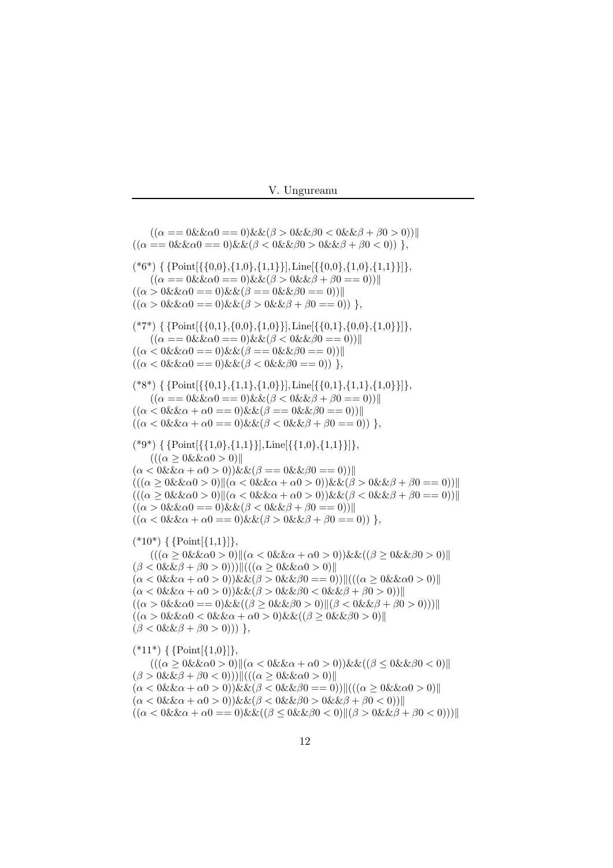$((\alpha == 0 \& \& \alpha == 0) \& \& (\beta > 0 \& \& \beta < 0 \& \& \beta + \beta < 0))$  $((\alpha == 0 \& \& \alpha == 0) \& \& (\beta < 0 \& \& \beta > 0 \& \& \beta + \beta < 0))$  $({*}6*)$  { {Point [{ ${0,0}, {1,0}, {1,1}$ }], Line [{ ${0,0}, {1,0}, {1,1}$ }]}  $((\alpha == 0 \& \& \alpha 0 == 0) \& \& (\beta > 0 \& \& \beta + \beta 0 == 0))]$  $((\alpha > 0 \& \& \alpha) = 0) \& \& (\beta = 0 \& \& \beta) = 0))$  $((\alpha > 0 \& \& \alpha 0 == 0) \& \& (\beta > 0 \& \& \beta + \beta 0 == 0)) \},$  $({*}7^*)$  { {Point  $({0,1}, {0,0}, {1,0})$ }, Line  $({0,1}, {0,0}, {1,0})$ }},  $((\alpha == 0 \& \& \alpha == 0) \& \& (\beta < 0 \& \& \beta == 0))]$  $((\alpha < 0 \& \& \alpha 0 == 0) \& \& (\beta == 0 \& \& \beta 0 == 0))]$  $((\alpha < 0 \& \& \alpha 0 == 0) \& \& (\beta < 0 \& \& \beta 0 == 0))$ ,  $(*8^*) \{ \{Point[\{\{0,1\},\{1,0\}\}], Line[\{\{0,1\},\{1,1\},\{1,0\}\}]\},$  $((\alpha == 0 \& \& \alpha == 0) \& \& (\beta < 0 \& \& \beta + \beta = 0))$  $((\alpha < 0 \& \& \alpha + \alpha) = 0) \& \& (\beta = 0 \& \& \beta) = 0))$  $((\alpha < 0 \& \& \alpha + \alpha 0 == 0) \& \& (\beta < 0 \& \& \beta + \beta 0 == 0))$ ,  $({*}9*)$  { {Point [{ ${1,0}, {1,1}$ }], Line [{ ${1,0}, {1,1}$ }]},  $(((\alpha \geq 0 \& \& \alpha 0 > 0)$  $(\alpha < 0 \& \& \alpha + \alpha 0 > 0)$ )  $\& \& (\beta = 0 \& \& \beta 0 = 0)$ )  $(((\alpha > 0 \& \& \alpha 0 > 0)||(\alpha < 0 \& \& \alpha + \alpha 0 > 0))\& \& (\beta > 0 \& \& \beta + \beta 0 == 0))||$  $((\alpha \geq 0 \& \& \alpha \geq 0)(\alpha < 0 \& \& \alpha + \alpha \geq 0))\& \& (\beta < 0 \& \& \beta + \beta \geq 0))$  $((\alpha > 0 \& \& \alpha 0 == 0) \& \& (\beta < 0 \& \& \beta + \beta 0 == 0))]$  $((\alpha < 0 \& \& \alpha + \alpha 0 \equiv 0) \& \& (\beta > 0 \& \& \beta + \beta 0 \equiv 0)) \},$  $(*10^*) \{ \{Point[{1,1}]\},\$  $((\alpha \geq 0 \& \& \alpha 0 > 0)||(\alpha < 0 \& \alpha + \alpha 0 > 0))\& \& ((\beta \geq 0 \& \& \beta 0 > 0)||$  $(\beta < 0 \& \& \beta + \beta 0 > 0))$ || $((\alpha \geq 0 \& \& \alpha 0 > 0)$ ||  $(\alpha < 0 \& \& \alpha + \alpha 0 > 0) \& \& (\beta > 0 \& \& \beta 0 == 0)) ||((\alpha \geq 0 \& \& \alpha 0 > 0) ||$  $(\alpha < 0 \& \& \alpha + \alpha 0 > 0)) \& \& (\beta > 0 \& \& \beta 0 < 0 \& \& \beta + \beta 0 > 0))$  $((\alpha > 0 \& \& \alpha 0 == 0) \& \& ((\beta > 0 \& \& \beta 0 > 0) || (\beta < 0 \& \& \beta + \beta 0 > 0)))$  $((\alpha > 0 \& \& \alpha) < 0 \& \& \alpha + \alpha 0 > 0) \& \& ((\beta > 0 \& \& \beta 0 > 0))$  $(\beta < 0 \& \& \beta + \beta 0 > 0))$ },  $({*}11*) \{ \{Point[{1,0}] \},\$  $((\alpha \geq 0 \& \& \alpha 0 > 0)||(\alpha < 0 \& \& \alpha + \alpha 0 > 0))\& \& ((\beta \leq 0 \& \& \beta 0 < 0)||$  $(\beta > 0 \& \& \beta + \beta 0 < 0)) ||((\alpha \geq 0 \& \& \alpha 0 > 0) ||$  $(\alpha < 0 \& \& \alpha + \alpha 0 > 0) \& \& (\beta < 0 \& \& \beta 0 == 0) ||((\alpha > 0 \& \& \alpha 0 > 0) ||$  $(\alpha < 0 \& \& \alpha + \alpha 0 > 0)$ )  $\& \& (\beta < 0 \& \& \beta 0 > 0 \& \& \beta + \beta 0 < 0)$ )  $((\alpha < 0 \& \& \alpha + \alpha) = 0) \& \& ((\beta < 0 \& \& \beta) < 0) || (\beta > 0 \& \& \beta + \beta) < 0))) ||$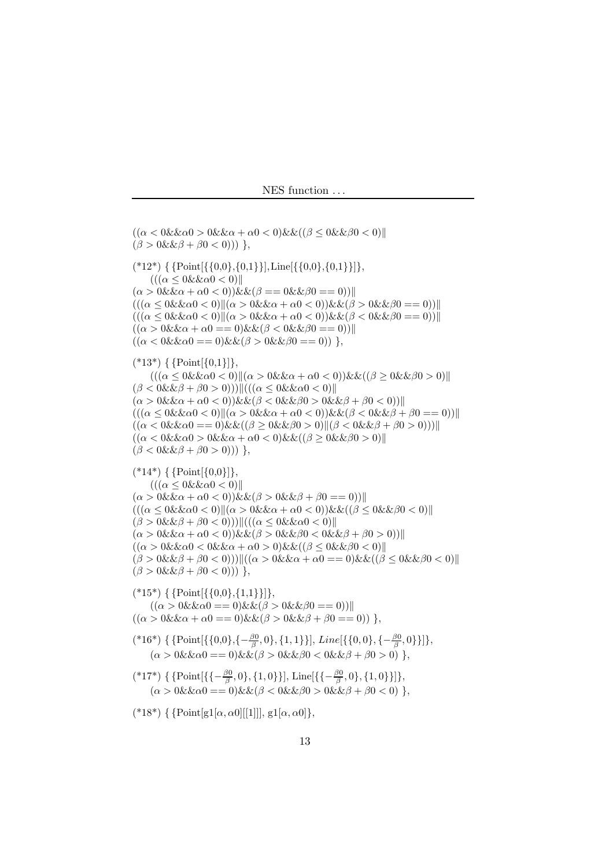```
((\alpha < 0 \& \& \alpha 0 > 0 \& \& \alpha + \alpha 0 < 0) \& \& ((\beta \leq 0 \& \& \beta 0 < 0))(\beta > 0 \& \& \beta + \beta 0 < 0)) },
({*12*}) \{ \{Point[\{\{0,0\},\{0,1\}\}], Line[\{\{0,0\},\{0,1\}\}]]\},(((\alpha \leq 0 \& \& \alpha 0 < 0)(\alpha > 0 \& \& \alpha + \alpha 0 < 0) \& \& (\beta = 0 \& \& \beta 0 = 0))(((\alpha \leq 0 \& \& \alpha 0 < 0) \| (\alpha > 0 \& \& \alpha + \alpha 0 < 0)) \& \& (\beta > 0 \& \& \beta 0 == 0))((\alpha \leq 0 \& \& \alpha 0 < 0) \|(\alpha &gt; 0 \& \& \alpha + \alpha 0 < 0)) \& \& (\beta &lt; 0 \& \& \beta 0 == 0)) \|((\alpha > 0 \& \& \alpha + \alpha) = 0) \& \& (\beta < 0 \& \& \beta) = 0))((\alpha < 0 \& \& \alpha 0 == 0) \& \& (\beta > 0 \& \& \beta 0 == 0))},
(*13*) \{ \{Point[{0,1}]\},\((\alpha \leq 0 \& \& \alpha < 0) \| (\alpha > 0 \& \& \alpha + \alpha < 0)) \& \& ((\beta \geq 0 \& \& \beta < 0) \|(\beta < 0 \& \& \beta + \beta 0 > 0)))||(((\alpha \leq 0 \& \& \alpha 0 < 0)||
(\alpha > 0 \& \& \alpha + \alpha 0 < 0)) \& \& (\beta < 0 \& \& \beta 0 > 0 \& \& \beta + \beta 0 < 0))(((\alpha \leq 0 \& \& \alpha 0 \leq 0) \| (\alpha > 0 \& \& \alpha + \alpha 0 \leq 0)) \& \& (\beta \leq 0 \& \& \beta + \beta 0 \leq 0)) \|((\alpha < 0 \& \& \alpha 0 == 0) \& \& ((\beta \geq 0 \& \& \beta 0 > 0) || (\beta < 0 \& \& \beta + \beta 0 > 0)))||((\alpha < 0 \& \& \alpha 0 > 0 \& \& \alpha + \alpha 0 < 0) \& \& ((\beta \geq 0 \& \& \beta 0 > 0))](\beta < 0 \& \& \beta + \beta 0 > 0))},
(*14^*) \{ \{Point[\{0,0\}]\},\(((\alpha \leq 0 \& \& \alpha 0 < 0)(\alpha > 0 \&\& \alpha + \alpha 0 < 0))\&\& (\beta > 0 \&\& \beta + \beta 0 == 0))((\alpha \leq 0 \& \& \alpha 0 < 0)||(\alpha > 0 \& \& \alpha + \alpha 0 < 0))\& \& ((\beta \leq 0 \& \& \beta 0 < 0)||(\beta > 0 \& \& \beta + \beta 0 < 0))||((\alpha \leq 0 \& \& \alpha 0 < 0)||
(\alpha > 0 \&\& \alpha + \alpha 0 < 0))\&\& (\beta > 0 \&\& \beta 0 < 0 \&\& \beta + \beta 0 > 0))((\alpha > 0 \& \& \alpha 0 < 0 \& \& \alpha + \alpha 0 > 0) \& \& ((\beta \leq 0 \& \& \beta 0 < 0))(\beta > 0 \& \& \beta + \beta 0 < 0))||((\alpha > 0 \& \& \alpha + \alpha 0 == 0) \& \& ((\beta \leq 0 \& \& \beta 0 < 0))||
(\beta > 0 \& \& \beta + \beta 0 < 0))},
({*}15*) { {Point [{{0,0}, {1,1}}]},
      ((\alpha > 0 \& \& \alpha) == 0) \& \& (\beta > 0 \& \& \beta) == 0))((\alpha > 0 \& \& \alpha + \alpha 0 == 0) \& \& (\beta > 0 \& \& \beta + \beta 0 == 0)) \},(*16*) { {Point[\{0,0\}, \{-\frac{\beta 0}{\beta}, 0\}, \{1, 1\}\}\], Line[\{\{0, 0\}, \{-\frac{\beta 0}{\beta}, 0\}\}]\},(\alpha > 0 \&\& \alpha = 0) \&\& (\beta > 0 \&\& \beta = 0 \&\& \beta + \beta = 0) \},(*17*) { {Point[\{\{-\frac{\beta 0}{\beta}, 0\}, \{1, 0\}\}], Line[\{\{-\frac{\beta 0}{\beta}, 0\}, \{1, 0\}\}]\},(\alpha > 0 \&\& \alpha = 0) \&\& (\beta < 0 \&\& \beta = 0 \&\& \beta + \beta = 0) \},(*18*) { {Point[g1[\alpha, \alpha0][[1]]], g1[\alpha, \alpha0]},
```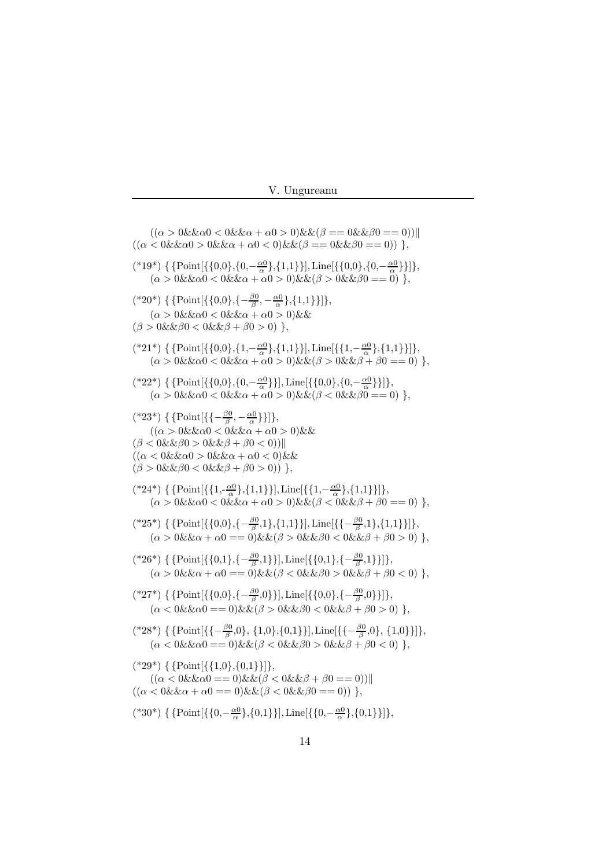|  | Ungureanu |  |
|--|-----------|--|
|--|-----------|--|

 $((\alpha > 0 \& \& \alpha 0 < 0 \& \& \alpha + \alpha 0 > 0) \& \& (\beta == 0 \& \& \beta 0 == 0))]$  $((\alpha < 0 \& \& \alpha 0) > 0 \& \& \alpha + \alpha 0 < 0 \& \& \beta == 0 \& \& \beta 0 == 0))$ , (\*19\*) { {Point[ $\{0,0\},\{0,-\frac{\alpha0}{\alpha}\},\{1,1\}\}\]$ , Line[ $\{\{0,0\},\{0,-\frac{\alpha0}{\alpha}\}\}\]$ ,  $(\alpha > 0 \&\& \alpha 0 < 0 \&\& \alpha + \alpha 0 > 0)\&\& (\beta > 0 \&\& \beta 0 == 0) \},$ (\*20\*) { {Point[{{0,0},{ $-\frac{\beta_0}{\beta}, -\frac{\alpha_0}{\alpha}$ },{1,1}}]},  $(\alpha > 0 \& \& \alpha 0 < 0 \& \& \alpha + \alpha 0 > 0) \& \& \alpha$  $(\beta > 0 \& \& \beta 0 < 0 \& \& \beta + \beta 0 > 0) \},$ (\*21\*) { {Point[{{0,0},{1,− $\frac{\alpha 0}{\alpha}$ },{1,1}}], Line[{{1,− $\frac{\alpha 0}{\alpha}$ },{1,1}}]},  $(\alpha > 0 \&\&\alpha 0 < 0 \&\&\alpha + \alpha 0 > 0)\&\&(\beta > 0 \&\&\beta + \beta 0 == 0) \},$ (\*22\*) { {Point[{{0,0},{0,- $\frac{\alpha}{\alpha}$ }}], Line[{{0,0},{0,- $\frac{\alpha}{\alpha}$ }}]},  $(\alpha > 0 \&\& \alpha 0 < 0 \&\& \alpha + \alpha 0 > 0)\&\& (\beta < 0 \&\& \beta 0 == 0) \},$ (\*23\*) { {Point[{{ $-{\frac{\beta0}{\beta}}, -{\frac{\alpha0}{\alpha}}$ }}]},  $((\alpha > 0 \& \& \alpha) < 0 \& \& \alpha + \alpha 0 > 0) \& \&$  $(\beta < 0 \& \& \beta 0 > 0 \& \& \beta + \beta 0 < 0))$  $((\alpha < 0 \& \& \alpha 0 > 0 \& \& \alpha + \alpha 0 < 0) \& \&$  $(\beta > 0 \& \& \beta 0 < 0 \& \& \beta + \beta 0 > 0)$ }, (\*24\*) { {Point[{ $\{1, -\frac{\alpha_0}{\alpha}\}, \{1,1\}$ }], Line[ $\{\{1, -\frac{\alpha_0}{\alpha}\}, \{1,1\}\}\]$ },  $(\alpha > 0 \&\&\alpha 0 < 0 \&\&\alpha + \alpha 0 > 0)\&\&(\beta < 0 \&\&\beta + \beta 0 == 0) \},$  $({*25^{\ast}})$  { {Point[{{0,0},{- $\frac{\beta_0}{\beta}$ ,1},{1,1}}], Line[{{- $\frac{\beta_0}{\beta}$ ,1},{1,1}}]},  $(\alpha > 0 \& \& \alpha + \alpha 0 = 0) \& \& (\beta > 0 \& \& \beta 0 < 0 \& \& \beta + \beta 0 > 0) \},$ (\*26\*) { {Point[{{0,1},{ $-\frac{\beta_0}{\beta}$ ,1}}], Line[{{0,1},{ $-\frac{\beta_0}{\beta}$ ,1}}]},  $(\alpha > 0 \& \& \alpha + \alpha 0 = 0) \& \& (\beta < 0 \& \& \beta 0 > 0 \& \& \beta + \beta 0 < 0) \},$ (\*27\*) { {Point $[\{\{0,0\}, \{-\frac{\beta 0}{\beta}, 0\}\}],$  Line $[\{\{0,0\}, \{-\frac{\beta 0}{\beta}, 0\}\}],$  $(\alpha < 0 \& \& \alpha 0 == 0) \& \& (\beta > 0 \& \& \beta 0 < 0 \& \& \beta + \beta 0 > 0) \},$ (\*28\*) { {Point $\{\{-\frac{\beta 0}{\beta},0\},\{1,0\},\{0,1\}\}\}\$ , Line $[\{-\frac{\beta 0}{\beta},0\},\{1,0\}\}]$ },  $(\alpha < 0 \& \& \alpha 0 == 0) \& \& (\beta < 0 \& \& \beta 0 > 0 \& \& \beta + \beta 0 < 0) \},$  $({}^{*}29^{*})$  { {Point[{{1,0},{0,1}}]},  $((\alpha < 0 \& \& \alpha 0 == 0) \& \& (\beta < 0 \& \& \beta + \beta 0 == 0))]$  $((\alpha < 0 \& \& \alpha + \alpha) = 0) \& \& (\beta < 0 \& \& \beta) = 0))$ , (\*30\*) { {Point[{{0,- $\frac{\alpha_0}{\alpha}$ },{0,1}}], Line[{{0,- $\frac{\alpha_0}{\alpha}$ },{0,1}}]},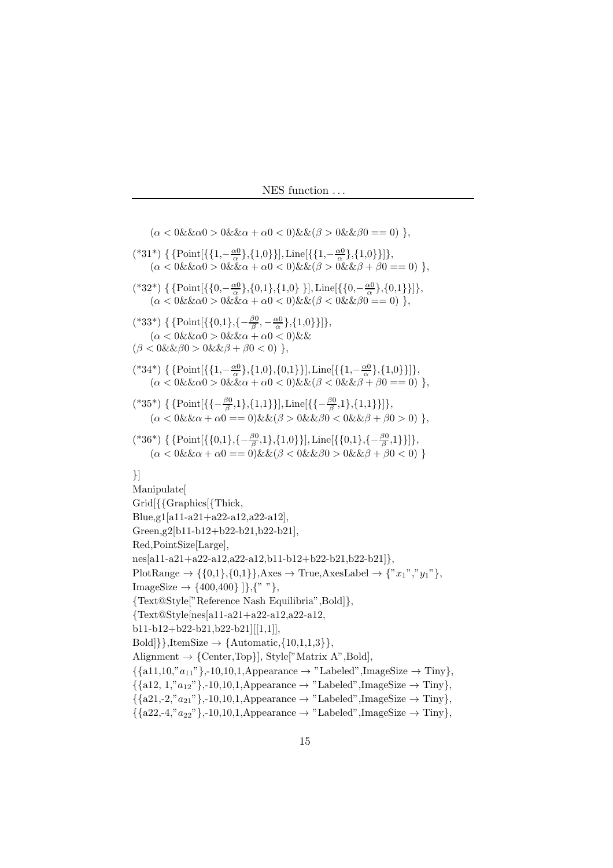$(\alpha < 0 \& \& \alpha$ )  $> 0 \& \& \alpha + \alpha$ 0  $< 0 \& \& \beta$ )  $\& \& \beta$ 0 == 0) }, (\*31\*) { {Point[{{1,- $\frac{\alpha}{\alpha}$ },{1,0}}], Line[{{1,- $\frac{\alpha}{\alpha}$ },{1,0}}]},  $(\alpha < 0 \& \& \alpha 0 > 0 \& \& \alpha + \alpha 0 < 0 \& \& (\beta > 0 \& \& \beta + \beta 0 == 0) \},$ (\*32\*) { {Point[{{0,- $\frac{\alpha_0}{\alpha}$ },{0,1},{1,0} }], Line[{{0,- $\frac{\alpha_0}{\alpha}$ },{0,1}}]},  $(\alpha < 0 \& \& \alpha 0 > 0 \& \& \alpha + \alpha 0 < 0) \& \& (\beta < 0 \& \& \beta 0 == 0) \},$ (\*33\*) { {Point[{{0,1},{ $-\frac{\beta_0}{\beta}, -\frac{\alpha_0}{\alpha}$ },{1,0}}]},  $(\alpha < 0 \& \& \alpha 0 > 0 \& \& \alpha + \alpha 0 < 0) \& \& \alpha$  $(\beta < 0 \& \& \beta 0 > 0 \& \& \beta + \beta 0 < 0) \},$ (\*34\*) { {Point $[\{\{1, -\frac{\alpha_0}{\alpha}\}, \{1, 0\}, \{0, 1\}\}],$ Line $[\{\{1, -\frac{\alpha_0}{\alpha}\}, \{1, 0\}\}]\},$  $(\alpha < 0 \& \& \alpha 0 > 0 \& \& \alpha + \alpha 0 < 0 \& \& (\beta < 0 \& \& \beta + \beta 0 == 0) \},$ (\*35\*) { {Point $[\{\{-\frac{\beta 0}{\beta},1\},\{1,1\}\}],$ Line $[\{\{-\frac{\beta 0}{\beta},1\},\{1,1\}\}]\},$  $(\alpha < 0 \& \& \alpha + \alpha 0 = 0) \& \& (\beta > 0 \& \& \beta 0 < 0 \& \& \beta + \beta 0 > 0) \},$ (\*36\*) { {Point $[\{\{0,1\}, \{-\frac{\beta 0}{\beta}, 1\}, \{1,0\}\}]$ , Line $[\{\{0,1\}, \{-\frac{\beta 0}{\beta}, 1\}\}]$ },  $(\alpha < 0 \& \& \alpha + \alpha 0 = 0) \& \& (\beta < 0 \& \& \beta 0 > 0 \& \& \beta + \beta 0 < 0) \}$ }] Manipulate[ Grid[{{Graphics[{Thick, Blue,g1[a11-a21+a22-a12,a22-a12], Green,g2[b11-b12+b22-b21,b22-b21], Red,PointSize[Large], nes[a11-a21+a22-a12,a22-a12,b11-b12+b22-b21,b22-b21]}, PlotRange  $\rightarrow \{\{0,1\},\{0,1\}\}\$ , Axes  $\rightarrow$  True, AxesLabel  $\rightarrow \{x_1, x_2, y_1, y_1\}$ , ImageSize  $\rightarrow$  {400,400} ]},{" "}, {Text@Style["Reference Nash Equilibria",Bold]}, {Text@Style[nes[a11-a21+a22-a12,a22-a12, b11-b12+b22-b21,b22-b21][[1,1]],  $Bold$ },ItemSize  $\rightarrow$  {Automatic, {10,1,1,3}}, Alignment  $\rightarrow$  {Center,Top}], Style["Matrix A",Bold],  $\{\{a11,10, "a_{11}" \},-10,10,1, \text{Appearance} \rightarrow \text{"Labeled", ImageSize} \rightarrow \text{Tiny}\},\$  $\{\{a12, 1, "a_{12}"\},-10,10,1,\text{Appearance}\rightarrow \text{"Labeled",ImageSize}\rightarrow \text{Timy}\},\$  $\{\{a21,-2, "a_{21}"\},-10,10,1,\text{Appearance}\rightarrow \text{"Labeled",ImageSize}\rightarrow \text{Timy}\},\$  $\{\{a22,-4, "a_{22}"\},-10,10,1,\text{Appearance}\rightarrow "Labeled",\text{ImageSize}\rightarrow \text{Timy}\},\$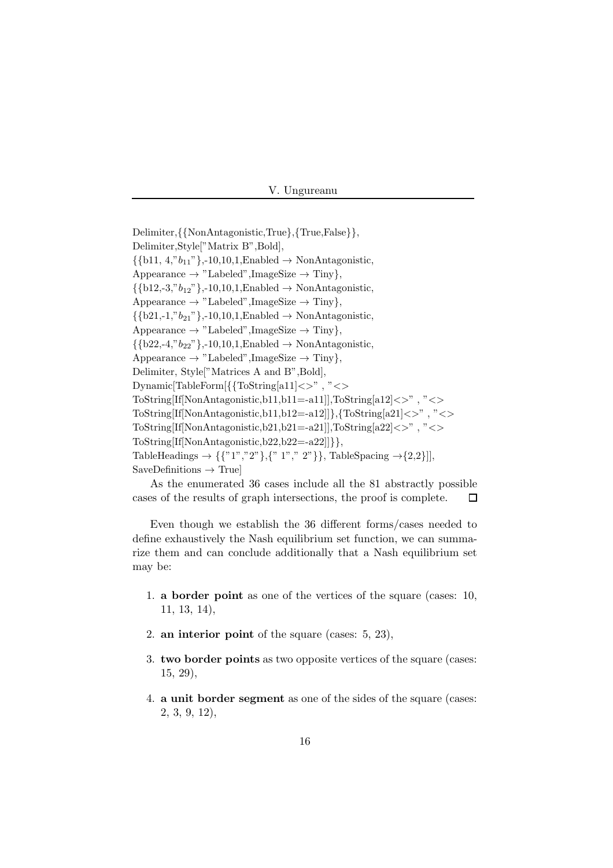Delimiter,{{NonAntagonistic,True},{True,False}}, Delimiter,Style["Matrix B",Bold],  $\{\{\text{b11}, 4, "b_{11}"\},-10,10,1,\text{Enabled} \rightarrow \text{NonAntagonistic},\}$ Appearance  $\rightarrow$  "Labeled", ImageSize  $\rightarrow$  Tiny},  $\{\{\text{b12,-3," } b_{12}\}\}$ ,-10,10,1,Enabled  $\rightarrow$  NonAntagonistic, Appearance  $\rightarrow$  "Labeled", ImageSize  $\rightarrow$  Tiny},  $\{\{\text{b21,-1}, "b_{21}"\},-10,10,1,\text{Enabled}\rightarrow \text{NonAntagonistic},\}$ Appearance  $\rightarrow$  "Labeled", ImageSize  $\rightarrow$  Tiny},  $\{\{b22,-4,'b_{22}'\},-10,10,1,E\nonumber\neq\infty\}$  NonAntagonistic, Appearance  $\rightarrow$  "Labeled", ImageSize  $\rightarrow$  Tiny}, Delimiter, Style["Matrices A and B",Bold], Dynamic[TableForm[{{ToString[a11]<>" , "<> ToString[If[NonAntagonistic,b11,b11=-a11]],ToString[a12]<>" , "<> ToString[If[NonAntagonistic,b11,b12=-a12]]},{ToString[a21]<>","<> ToString[If[NonAntagonistic,b21,b21=-a21]],ToString[a22]<>" , "<> ToString[If[NonAntagonistic,b22,b22=-a22]]}}, TableHeadings  $\to \{\{``1", ``2"\},\{``1", ``2"\}\}\$ , TableSpacing  $\to$  {2,2}]],  $SaveDefinitions \rightarrow True$ 

As the enumerated 36 cases include all the 81 abstractly possible cases of the results of graph intersections, the proof is complete.  $\Box$ 

Even though we establish the 36 different forms/cases needed to define exhaustively the Nash equilibrium set function, we can summarize them and can conclude additionally that a Nash equilibrium set may be:

- 1. a border point as one of the vertices of the square (cases: 10, 11, 13, 14),
- 2. an interior point of the square (cases: 5, 23),
- 3. two border points as two opposite vertices of the square (cases: 15, 29),
- 4. a unit border segment as one of the sides of the square (cases: 2, 3, 9, 12),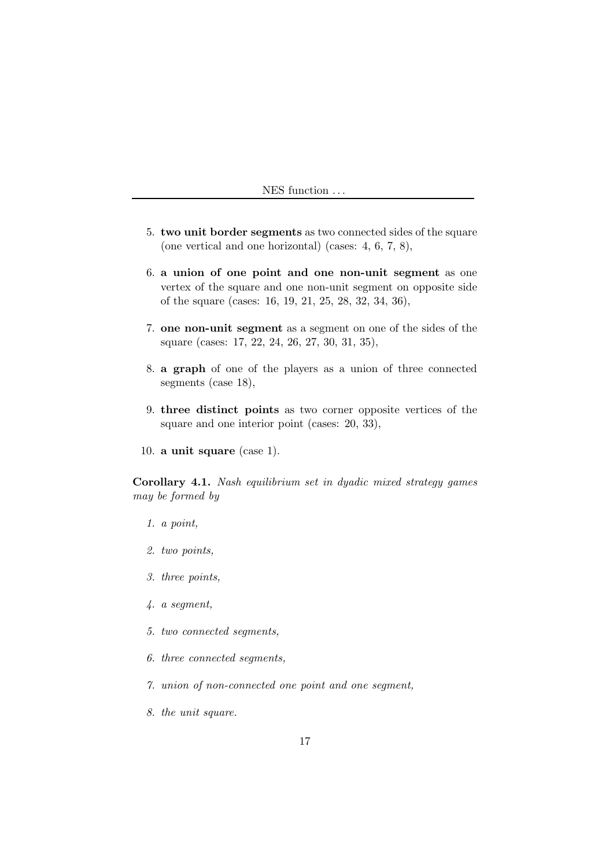- 5. two unit border segments as two connected sides of the square (one vertical and one horizontal) (cases: 4, 6, 7, 8),
- 6. a union of one point and one non-unit segment as one vertex of the square and one non-unit segment on opposite side of the square (cases: 16, 19, 21, 25, 28, 32, 34, 36),
- 7. one non-unit segment as a segment on one of the sides of the square (cases: 17, 22, 24, 26, 27, 30, 31, 35),
- 8. a graph of one of the players as a union of three connected segments (case 18),
- 9. three distinct points as two corner opposite vertices of the square and one interior point (cases: 20, 33),
- 10. a unit square (case 1).

Corollary 4.1. Nash equilibrium set in dyadic mixed strategy games may be formed by

- 1. a point,
- 2. two points,
- 3. three points,
- 4. a segment,
- 5. two connected segments,
- 6. three connected segments,
- 7. union of non-connected one point and one segment,
- 8. the unit square.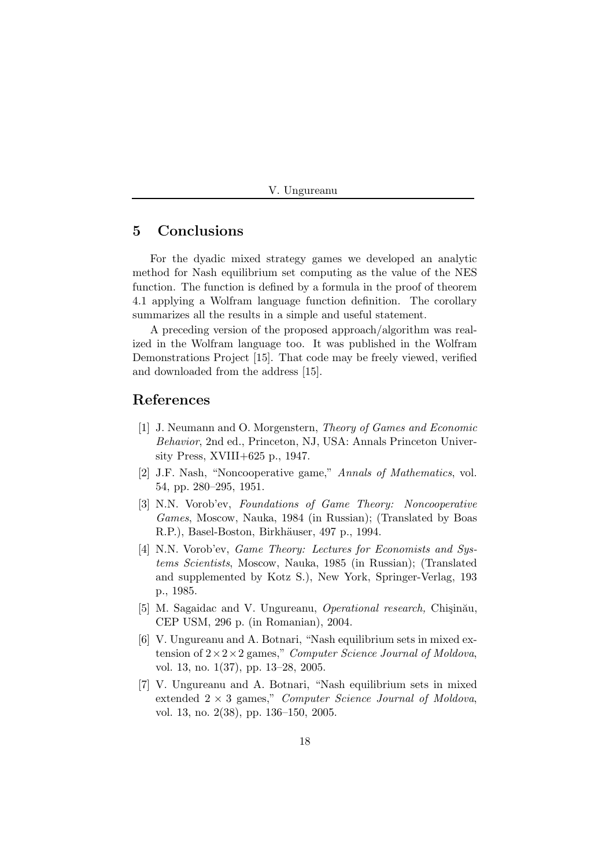|  | Ungureanu |  |
|--|-----------|--|
|--|-----------|--|

### 5 Conclusions

For the dyadic mixed strategy games we developed an analytic method for Nash equilibrium set computing as the value of the NES function. The function is defined by a formula in the proof of theorem 4.1 applying a Wolfram language function definition. The corollary summarizes all the results in a simple and useful statement.

A preceding version of the proposed approach/algorithm was realized in the Wolfram language too. It was published in the Wolfram Demonstrations Project [15]. That code may be freely viewed, verified and downloaded from the address [15].

#### References

- [1] J. Neumann and O. Morgenstern, Theory of Games and Economic Behavior, 2nd ed., Princeton, NJ, USA: Annals Princeton University Press, XVIII+625 p., 1947.
- [2] J.F. Nash, "Noncooperative game," Annals of Mathematics, vol. 54, pp. 280–295, 1951.
- [3] N.N. Vorob'ev, Foundations of Game Theory: Noncooperative Games, Moscow, Nauka, 1984 (in Russian); (Translated by Boas R.P.), Basel-Boston, Birkhäuser, 497 p., 1994.
- [4] N.N. Vorob'ev, *Game Theory: Lectures for Economists and Sus*tems Scientists, Moscow, Nauka, 1985 (in Russian); (Translated and supplemented by Kotz S.), New York, Springer-Verlag, 193 p., 1985.
- [5] M. Sagaidac and V. Ungureanu, *Operational research*, Chișinău, CEP USM, 296 p. (in Romanian), 2004.
- [6] V. Ungureanu and A. Botnari, "Nash equilibrium sets in mixed extension of  $2 \times 2 \times 2$  games," Computer Science Journal of Moldova, vol. 13, no. 1(37), pp. 13–28, 2005.
- [7] V. Ungureanu and A. Botnari, "Nash equilibrium sets in mixed extended  $2 \times 3$  games," Computer Science Journal of Moldova, vol. 13, no. 2(38), pp. 136–150, 2005.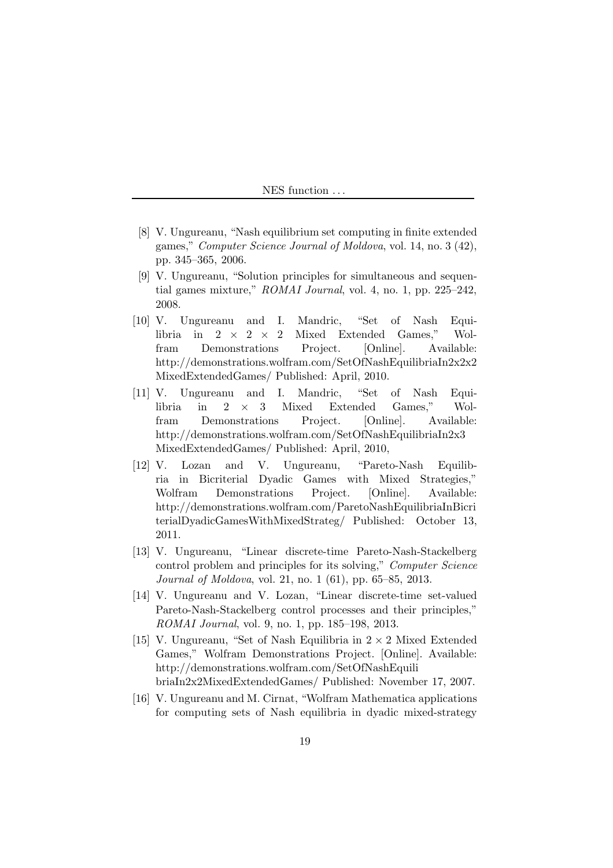- [8] V. Ungureanu, "Nash equilibrium set computing in finite extended games," Computer Science Journal of Moldova, vol. 14, no. 3 (42), pp. 345–365, 2006.
- [9] V. Ungureanu, "Solution principles for simultaneous and sequential games mixture," ROMAI Journal, vol. 4, no. 1, pp. 225–242, 2008.
- [10] V. Ungureanu and I. Mandric, "Set of Nash Equilibria in  $2 \times 2 \times 2$  Mixed Extended Games," Wolfram Demonstrations Project. [Online]. Available: http://demonstrations.wolfram.com/SetOfNashEquilibriaIn2x2x2 MixedExtendedGames/ Published: April, 2010.
- [11] V. Ungureanu and I. Mandric, "Set of Nash Equilibria in 2 × 3 Mixed Extended Games," Wolfram Demonstrations Project. [Online]. Available: http://demonstrations.wolfram.com/SetOfNashEquilibriaIn2x3 MixedExtendedGames/ Published: April, 2010,
- [12] V. Lozan and V. Ungureanu, "Pareto-Nash Equilibria in Bicriterial Dyadic Games with Mixed Strategies," Wolfram Demonstrations Project. [Online]. Available: http://demonstrations.wolfram.com/ParetoNashEquilibriaInBicri terialDyadicGamesWithMixedStrateg/ Published: October 13, 2011.
- [13] V. Ungureanu, "Linear discrete-time Pareto-Nash-Stackelberg control problem and principles for its solving," Computer Science Journal of Moldova, vol. 21, no. 1 (61), pp. 65–85, 2013.
- [14] V. Ungureanu and V. Lozan, "Linear discrete-time set-valued Pareto-Nash-Stackelberg control processes and their principles," ROMAI Journal, vol. 9, no. 1, pp. 185–198, 2013.
- [15] V. Ungureanu, "Set of Nash Equilibria in  $2 \times 2$  Mixed Extended Games," Wolfram Demonstrations Project. [Online]. Available: http://demonstrations.wolfram.com/SetOfNashEquili briaIn2x2MixedExtendedGames/ Published: November 17, 2007.
- [16] V. Ungureanu and M. Cirnat, "Wolfram Mathematica applications for computing sets of Nash equilibria in dyadic mixed-strategy